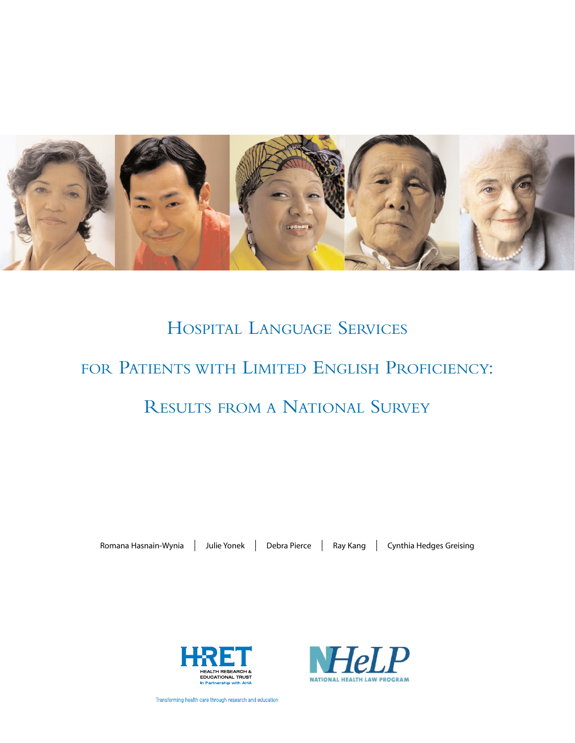

# HOSPITAL LANGUAGE SERVICES FOR PATIENTS WITH LIMITED ENGLISH PROFICIENCY: RESULTS FROM A NATIONAL SURVEY

Romana Hasnain-Wynia | Julie Yonek | Debra Pierce | Ray Kang | Cynthia Hedges Greising





Transforming health care through research and education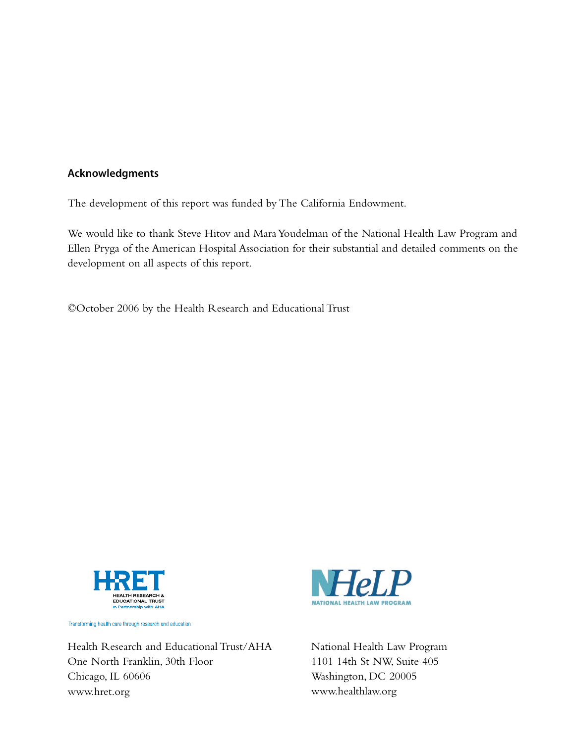## **Acknowledgments**

The development of this report was funded by The California Endowment.

We would like to thank Steve Hitov and Mara Youdelman of the National Health Law Program and Ellen Pryga of the American Hospital Association for their substantial and detailed comments on the development on all aspects of this report.

©October 2006 by the Health Research and Educational Trust



Transforming health care through research and education

Health Research and Educational Trust/AHA One North Franklin, 30th Floor Chicago, IL 60606 www.hret.org



National Health Law Program 1101 14th St NW, Suite 405 Washington, DC 20005 www.healthlaw.org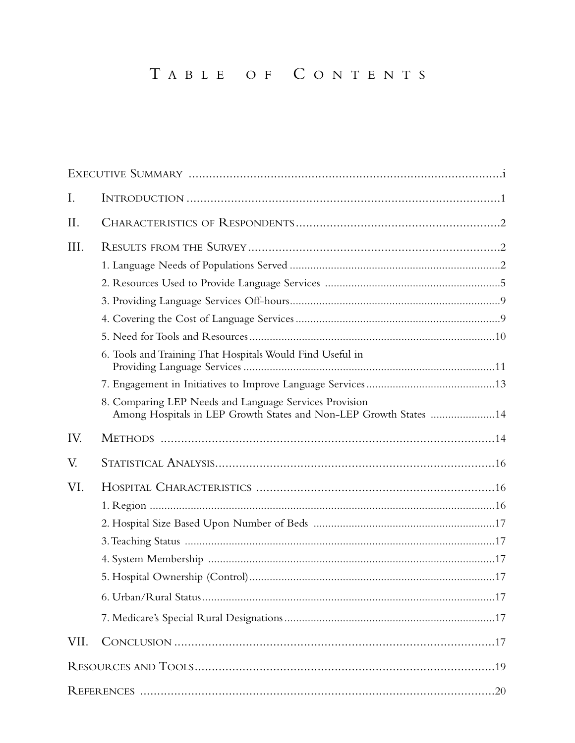# TABLE OF CONTENTS

| I.   |                                                                                                                             |  |
|------|-----------------------------------------------------------------------------------------------------------------------------|--|
| II.  |                                                                                                                             |  |
| III. |                                                                                                                             |  |
|      |                                                                                                                             |  |
|      |                                                                                                                             |  |
|      |                                                                                                                             |  |
|      |                                                                                                                             |  |
|      |                                                                                                                             |  |
|      | 6. Tools and Training That Hospitals Would Find Useful in                                                                   |  |
|      |                                                                                                                             |  |
|      | 8. Comparing LEP Needs and Language Services Provision<br>Among Hospitals in LEP Growth States and Non-LEP Growth States 14 |  |
| IV.  |                                                                                                                             |  |
| V.   |                                                                                                                             |  |
| VI.  |                                                                                                                             |  |
|      |                                                                                                                             |  |
|      |                                                                                                                             |  |
|      |                                                                                                                             |  |
|      |                                                                                                                             |  |
|      |                                                                                                                             |  |
|      |                                                                                                                             |  |
|      |                                                                                                                             |  |
| VII. |                                                                                                                             |  |
|      |                                                                                                                             |  |
|      |                                                                                                                             |  |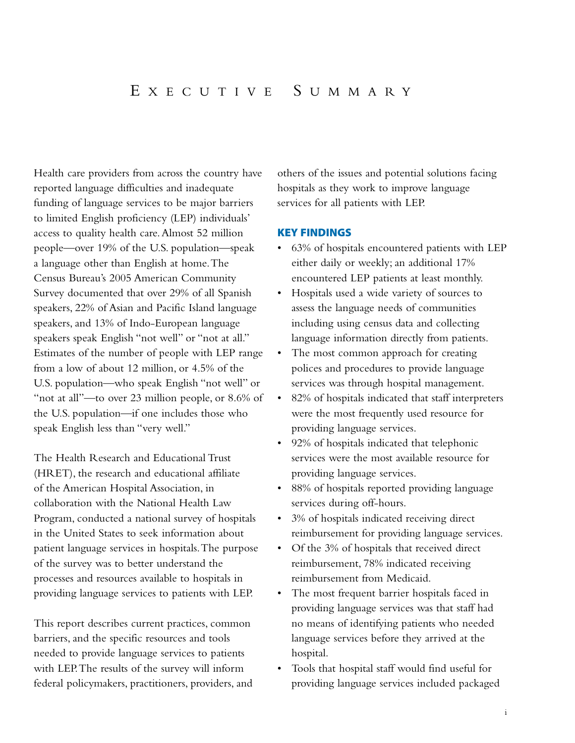Health care providers from across the country have reported language difficulties and inadequate funding of language services to be major barriers to limited English proficiency (LEP) individuals' access to quality health care.Almost 52 million people—over 19% of the U.S. population—speak a language other than English at home.The Census Bureau's 2005 American Community Survey documented that over 29% of all Spanish speakers, 22% of Asian and Pacific Island language speakers, and 13% of Indo-European language speakers speak English "not well" or "not at all." Estimates of the number of people with LEP range from a low of about 12 million, or 4.5% of the U.S. population—who speak English "not well" or "not at all"—to over 23 million people, or 8.6% of the U.S. population—if one includes those who speak English less than "very well."

The Health Research and Educational Trust (HRET), the research and educational affiliate of the American Hospital Association, in collaboration with the National Health Law Program, conducted a national survey of hospitals in the United States to seek information about patient language services in hospitals.The purpose of the survey was to better understand the processes and resources available to hospitals in providing language services to patients with LEP.

This report describes current practices, common barriers, and the specific resources and tools needed to provide language services to patients with LEP.The results of the survey will inform federal policymakers, practitioners, providers, and others of the issues and potential solutions facing hospitals as they work to improve language services for all patients with LEP.

#### **KEY FINDINGS**

- 63% of hospitals encountered patients with LEP either daily or weekly; an additional 17% encountered LEP patients at least monthly.
- Hospitals used a wide variety of sources to assess the language needs of communities including using census data and collecting language information directly from patients.
- The most common approach for creating polices and procedures to provide language services was through hospital management.
- 82% of hospitals indicated that staff interpreters were the most frequently used resource for providing language services.
- 92% of hospitals indicated that telephonic services were the most available resource for providing language services.
- 88% of hospitals reported providing language services during off-hours.
- 3% of hospitals indicated receiving direct reimbursement for providing language services.
- Of the 3% of hospitals that received direct reimbursement, 78% indicated receiving reimbursement from Medicaid.
- The most frequent barrier hospitals faced in providing language services was that staff had no means of identifying patients who needed language services before they arrived at the hospital.
- Tools that hospital staff would find useful for providing language services included packaged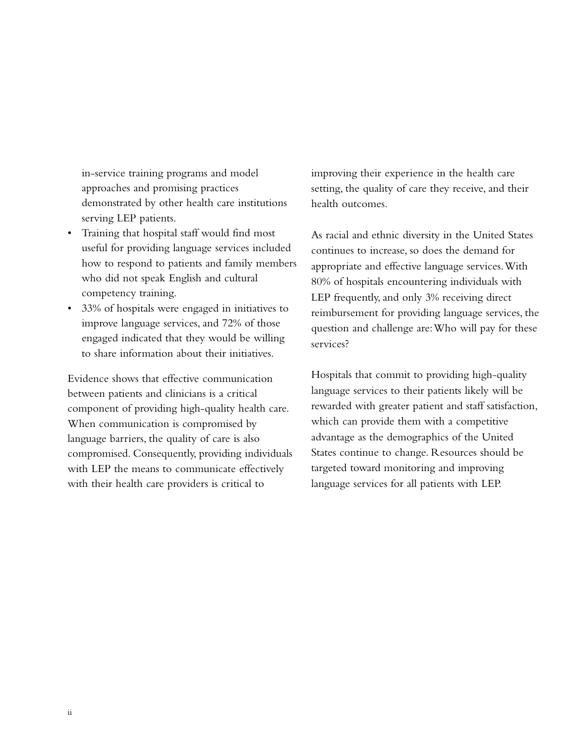in-service training programs and model approaches and promising practices demonstrated by other health care institutions serving LEP patients.

- Training that hospital staff would find most useful for providing language services included how to respond to patients and family members who did not speak English and cultural competency training.
- 33% of hospitals were engaged in initiatives to improve language services, and 72% of those engaged indicated that they would be willing to share information about their initiatives.

Evidence shows that effective communication between patients and clinicians is a critical component of providing high-quality health care. When communication is compromised by language barriers, the quality of care is also compromised. Consequently, providing individuals with LEP the means to communicate effectively with their health care providers is critical to

improving their experience in the health care setting, the quality of care they receive, and their health outcomes.

As racial and ethnic diversity in the United States continues to increase, so does the demand for appropriate and effective language services.With 80% of hospitals encountering individuals with LEP frequently, and only 3% receiving direct reimbursement for providing language services, the question and challenge are:Who will pay for these services?

Hospitals that commit to providing high-quality language services to their patients likely will be rewarded with greater patient and staff satisfaction, which can provide them with a competitive advantage as the demographics of the United States continue to change. Resources should be targeted toward monitoring and improving language services for all patients with LEP.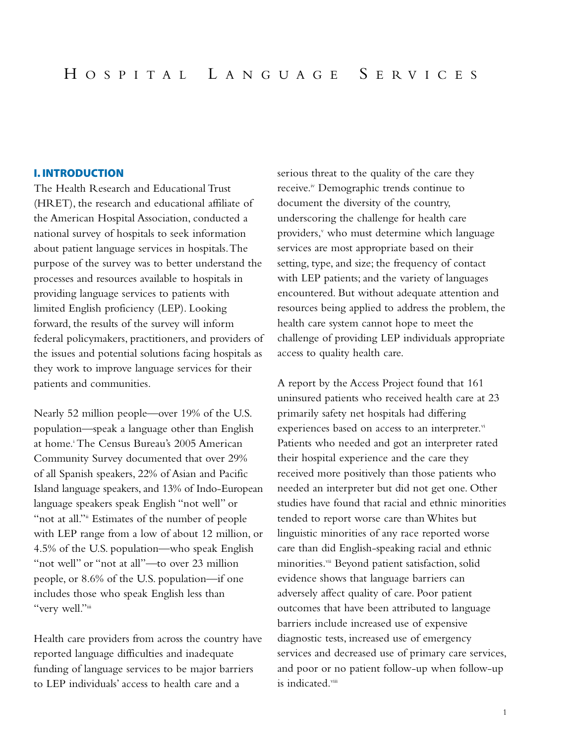### **I. INTRODUCTION**

The Health Research and Educational Trust (HRET), the research and educational affiliate of the American Hospital Association, conducted a national survey of hospitals to seek information about patient language services in hospitals.The purpose of the survey was to better understand the processes and resources available to hospitals in providing language services to patients with limited English proficiency (LEP). Looking forward, the results of the survey will inform federal policymakers, practitioners, and providers of the issues and potential solutions facing hospitals as they work to improve language services for their patients and communities.

Nearly 52 million people—over 19% of the U.S. population—speak a language other than English at home.i The Census Bureau's 2005 American Community Survey documented that over 29% of all Spanish speakers, 22% of Asian and Pacific Island language speakers, and 13% of Indo-European language speakers speak English "not well" or "not at all." Estimates of the number of people with LEP range from a low of about 12 million, or 4.5% of the U.S. population—who speak English "not well" or "not at all"—to over 23 million people, or 8.6% of the U.S. population—if one includes those who speak English less than "very well."iii

Health care providers from across the country have reported language difficulties and inadequate funding of language services to be major barriers to LEP individuals' access to health care and a

serious threat to the quality of the care they receive.<sup>iv</sup> Demographic trends continue to document the diversity of the country, underscoring the challenge for health care providers, $v$  who must determine which language services are most appropriate based on their setting, type, and size; the frequency of contact with LEP patients; and the variety of languages encountered. But without adequate attention and resources being applied to address the problem, the health care system cannot hope to meet the challenge of providing LEP individuals appropriate access to quality health care.

A report by the Access Project found that 161 uninsured patients who received health care at 23 primarily safety net hospitals had differing experiences based on access to an interpreter.vi Patients who needed and got an interpreter rated their hospital experience and the care they received more positively than those patients who needed an interpreter but did not get one. Other studies have found that racial and ethnic minorities tended to report worse care than Whites but linguistic minorities of any race reported worse care than did English-speaking racial and ethnic minorities.<sup>vii</sup> Beyond patient satisfaction, solid evidence shows that language barriers can adversely affect quality of care. Poor patient outcomes that have been attributed to language barriers include increased use of expensive diagnostic tests, increased use of emergency services and decreased use of primary care services, and poor or no patient follow-up when follow-up is indicated.<sup>viii</sup>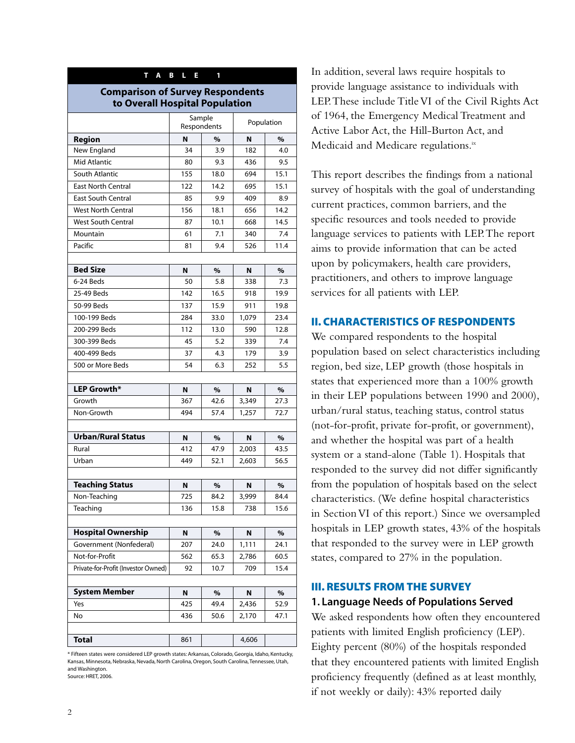| L.<br>T A<br>$\overline{B}$<br>E<br>1                                     |          |                       |            |           |  |  |  |
|---------------------------------------------------------------------------|----------|-----------------------|------------|-----------|--|--|--|
| <b>Comparison of Survey Respondents</b><br>to Overall Hospital Population |          |                       |            |           |  |  |  |
|                                                                           |          | Sample<br>Respondents | Population |           |  |  |  |
| Region                                                                    | N        | %                     | N          | %         |  |  |  |
| New England                                                               | 34       | 3.9                   | 182        | 4.0       |  |  |  |
| <b>Mid Atlantic</b>                                                       | 80       | 9.3                   | 436        | 9.5       |  |  |  |
| South Atlantic                                                            | 155      | 18.0                  | 694        | 15.1      |  |  |  |
| <b>East North Central</b>                                                 | 122      | 14.2                  | 695        | 15.1      |  |  |  |
| <b>East South Central</b>                                                 | 85       | 9.9                   | 409        | 8.9       |  |  |  |
| <b>West North Central</b>                                                 | 156      | 18.1                  | 656        | 14.2      |  |  |  |
| <b>West South Central</b>                                                 | 87       | 10.1                  | 668        | 14.5      |  |  |  |
| Mountain                                                                  | 61       | 7.1                   | 340        | 7.4       |  |  |  |
| Pacific                                                                   | 81       | 9.4                   | 526        | 11.4      |  |  |  |
|                                                                           |          |                       |            |           |  |  |  |
| <b>Bed Size</b>                                                           | N        | %                     | N          | %         |  |  |  |
| 6-24 Beds                                                                 | 50       | 5.8                   | 338        | 7.3       |  |  |  |
| 25-49 Beds                                                                | 142      | 16.5                  | 918        | 19.9      |  |  |  |
| 50-99 Beds                                                                | 137      | 15.9                  | 911        | 19.8      |  |  |  |
| 100-199 Beds                                                              | 284      | 33.0                  | 1,079      | 23.4      |  |  |  |
| 200-299 Beds                                                              | 112      | 13.0                  | 590        | 12.8      |  |  |  |
| 300-399 Beds                                                              | 45       | 5.2                   | 339        | 7.4       |  |  |  |
| 400-499 Beds                                                              | 37       | 4.3                   | 179        | 3.9       |  |  |  |
| 500 or More Beds                                                          | 54       | 6.3                   | 252        | 5.5       |  |  |  |
|                                                                           |          |                       |            |           |  |  |  |
| LEP Growth*                                                               | N        | %                     | N          | %         |  |  |  |
| Growth                                                                    | 367      | 42.6                  | 3,349      | 27.3      |  |  |  |
| Non-Growth                                                                | 494      | 57.4                  | 1,257      | 72.7      |  |  |  |
|                                                                           |          |                       |            |           |  |  |  |
| <b>Urban/Rural Status</b>                                                 | N        | %                     | N          | %         |  |  |  |
| Rural                                                                     | 412      | 47.9                  | 2,003      | 43.5      |  |  |  |
| Urban                                                                     | 449      | 52.1                  | 2,603      | 56.5      |  |  |  |
|                                                                           |          |                       |            |           |  |  |  |
| <b>Teaching Status</b>                                                    | N        | $\%$                  | N          | $\%$      |  |  |  |
| Non-Teaching                                                              | 725      | 84.2                  | 3,999      | 84.4      |  |  |  |
| Teaching                                                                  | 136      | 15.8                  | 738        | 15.6      |  |  |  |
|                                                                           |          |                       |            |           |  |  |  |
| <b>Hospital Ownership</b><br>Government (Nonfederal)                      | N        | %                     | Ν<br>1,111 | %         |  |  |  |
|                                                                           | 207      | 24.0                  |            | 24.1      |  |  |  |
| Not-for-Profit                                                            | 562      | 65.3                  | 2,786      | 60.5      |  |  |  |
| Private-for-Profit (Investor Owned)                                       | 92       | 10.7                  | 709        | 15.4      |  |  |  |
| <b>System Member</b>                                                      |          |                       |            |           |  |  |  |
| Yes                                                                       | N<br>425 | %<br>49.4             | N<br>2,436 | %<br>52.9 |  |  |  |
| No                                                                        | 436      | 50.6                  |            | 47.1      |  |  |  |
|                                                                           |          |                       | 2,170      |           |  |  |  |
| <b>Total</b>                                                              | 861      |                       | 4,606      |           |  |  |  |

\* Fifteen states were considered LEP growth states: Arkansas, Colorado, Georgia, Idaho, Kentucky, Kansas, Minnesota, Nebraska, Nevada, North Carolina, Oregon, South Carolina, Tennessee, Utah, and Washington. Source: HRET, 2006.

In addition, several laws require hospitals to provide language assistance to individuals with LEP.These include Title VI of the Civil Rights Act of 1964, the Emergency Medical Treatment and Active Labor Act, the Hill-Burton Act, and Medicaid and Medicare regulations.<sup>ix</sup>

This report describes the findings from a national survey of hospitals with the goal of understanding current practices, common barriers, and the specific resources and tools needed to provide language services to patients with LEP.The report aims to provide information that can be acted upon by policymakers, health care providers, practitioners, and others to improve language services for all patients with LEP.

#### **II. CHARACTERISTICS OF RESPONDENTS**

We compared respondents to the hospital population based on select characteristics including region, bed size, LEP growth (those hospitals in states that experienced more than a 100% growth in their LEP populations between 1990 and 2000), urban/rural status, teaching status, control status (not-for-profit, private for-profit, or government), and whether the hospital was part of a health system or a stand-alone (Table 1). Hospitals that responded to the survey did not differ significantly from the population of hospitals based on the select characteristics. (We define hospital characteristics in Section VI of this report.) Since we oversampled hospitals in LEP growth states, 43% of the hospitals that responded to the survey were in LEP growth states, compared to 27% in the population.

## **III. RESULTS FROM THE SURVEY 1. Language Needs of Populations Served**

We asked respondents how often they encountered patients with limited English proficiency (LEP). Eighty percent (80%) of the hospitals responded that they encountered patients with limited English proficiency frequently (defined as at least monthly, if not weekly or daily): 43% reported daily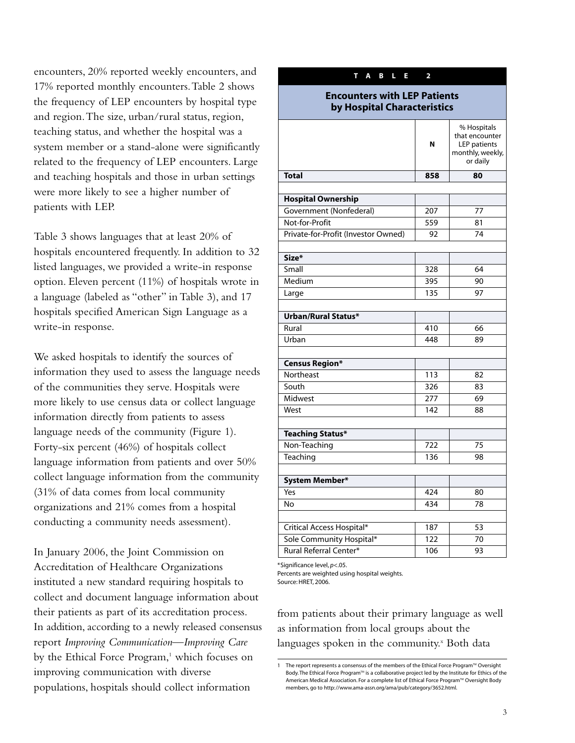encounters, 20% reported weekly encounters, and 17% reported monthly encounters.Table 2 shows the frequency of LEP encounters by hospital type and region.The size, urban/rural status, region, teaching status, and whether the hospital was a system member or a stand-alone were significantly related to the frequency of LEP encounters. Large and teaching hospitals and those in urban settings were more likely to see a higher number of patients with LEP.

Table 3 shows languages that at least 20% of hospitals encountered frequently. In addition to 32 listed languages, we provided a write-in response option. Eleven percent (11%) of hospitals wrote in a language (labeled as "other" in Table 3), and 17 hospitals specified American Sign Language as a write-in response.

We asked hospitals to identify the sources of information they used to assess the language needs of the communities they serve. Hospitals were more likely to use census data or collect language information directly from patients to assess language needs of the community (Figure 1). Forty-six percent (46%) of hospitals collect language information from patients and over 50% collect language information from the community (31% of data comes from local community organizations and 21% comes from a hospital conducting a community needs assessment).

In January 2006, the Joint Commission on Accreditation of Healthcare Organizations instituted a new standard requiring hospitals to collect and document language information about their patients as part of its accreditation process. In addition, according to a newly released consensus report *Improving Communication*—*Improving Care* by the Ethical Force Program,<sup>1</sup> which focuses on improving communication with diverse populations, hospitals should collect information

| Α<br>L.<br>T.<br>B<br>Ε                                            | 2   |                                                                                      |  |  |  |  |  |
|--------------------------------------------------------------------|-----|--------------------------------------------------------------------------------------|--|--|--|--|--|
| <b>Encounters with LEP Patients</b><br>by Hospital Characteristics |     |                                                                                      |  |  |  |  |  |
|                                                                    | N   | % Hospitals<br>that encounter<br><b>LEP</b> patients<br>monthly, weekly,<br>or daily |  |  |  |  |  |
| <b>Total</b>                                                       | 858 | 80                                                                                   |  |  |  |  |  |
|                                                                    |     |                                                                                      |  |  |  |  |  |
| <b>Hospital Ownership</b>                                          |     |                                                                                      |  |  |  |  |  |
| Government (Nonfederal)                                            | 207 | 77                                                                                   |  |  |  |  |  |
| Not-for-Profit                                                     | 559 | 81                                                                                   |  |  |  |  |  |
| Private-for-Profit (Investor Owned)                                | 92  | 74                                                                                   |  |  |  |  |  |
|                                                                    |     |                                                                                      |  |  |  |  |  |
| Size*                                                              |     |                                                                                      |  |  |  |  |  |
| Small                                                              | 328 | 64                                                                                   |  |  |  |  |  |
| Medium                                                             | 395 | 90                                                                                   |  |  |  |  |  |
| Large                                                              | 135 | 97                                                                                   |  |  |  |  |  |
|                                                                    |     |                                                                                      |  |  |  |  |  |
| Urban/Rural Status*                                                |     |                                                                                      |  |  |  |  |  |
| Rural                                                              | 410 | 66                                                                                   |  |  |  |  |  |
| Urban                                                              | 448 | 89                                                                                   |  |  |  |  |  |
|                                                                    |     |                                                                                      |  |  |  |  |  |
| <b>Census Region*</b>                                              |     |                                                                                      |  |  |  |  |  |
| Northeast                                                          | 113 | 82                                                                                   |  |  |  |  |  |
| South                                                              | 326 | 83                                                                                   |  |  |  |  |  |
| Midwest                                                            | 277 | 69                                                                                   |  |  |  |  |  |
| West                                                               | 142 | 88                                                                                   |  |  |  |  |  |
|                                                                    |     |                                                                                      |  |  |  |  |  |
| <b>Teaching Status*</b>                                            |     |                                                                                      |  |  |  |  |  |
| Non-Teaching                                                       | 722 | 75                                                                                   |  |  |  |  |  |
| Teaching                                                           | 136 | 98                                                                                   |  |  |  |  |  |
|                                                                    |     |                                                                                      |  |  |  |  |  |
| System Member*                                                     |     |                                                                                      |  |  |  |  |  |
| Yes                                                                | 424 | 80                                                                                   |  |  |  |  |  |
| <b>No</b>                                                          | 434 | 78                                                                                   |  |  |  |  |  |
|                                                                    |     |                                                                                      |  |  |  |  |  |
| Critical Access Hospital*                                          | 187 | 53                                                                                   |  |  |  |  |  |
| Sole Community Hospital*                                           | 122 | 70                                                                                   |  |  |  |  |  |
| Rural Referral Center*                                             | 106 | 93                                                                                   |  |  |  |  |  |

\*Significance level, *p*<.05.

Percents are weighted using hospital weights. Source: HRET, 2006.

from patients about their primary language as well as information from local groups about the languages spoken in the community.<sup>x</sup> Both data

The report represents a consensus of the members of the Ethical Force Program<sup>TM</sup> Oversight Body. The Ethical Force Program<sup>TM</sup> is a collaborative project led by the Institute for Ethics of the American Medical Association. For a complete list of Ethical Force Program™ Oversight Body members, go to http://www.ama-assn.org/ama/pub/category/3652.html.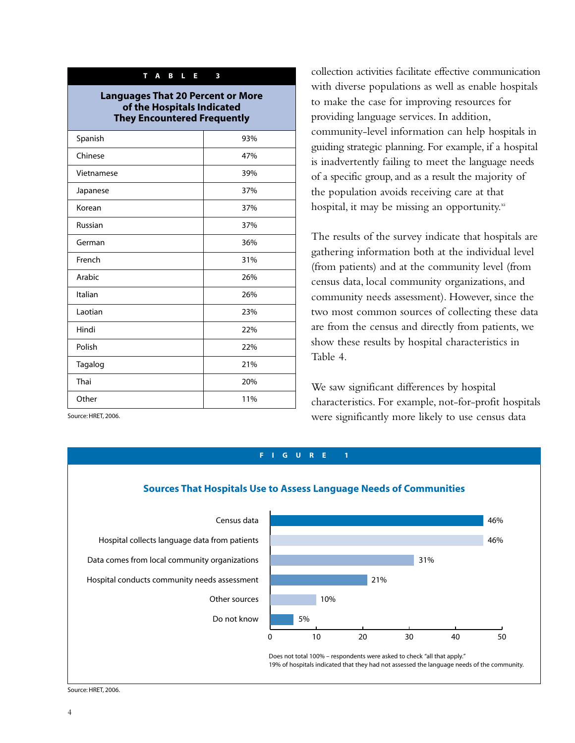#### **TABLE 3**

**Languages That 20 Percent or More of the Hospitals Indicated They Encountered Frequently**

| Spanish    | 93% |
|------------|-----|
| Chinese    | 47% |
| Vietnamese | 39% |
| Japanese   | 37% |
| Korean     | 37% |
| Russian    | 37% |
| German     | 36% |
| French     | 31% |
| Arabic     | 26% |
| Italian    | 26% |
| Laotian    | 23% |
| Hindi      | 22% |
| Polish     | 22% |
| Tagalog    | 21% |
| Thai       | 20% |
| Other      | 11% |
|            |     |

collection activities facilitate effective communication with diverse populations as well as enable hospitals to make the case for improving resources for providing language services. In addition, community-level information can help hospitals in guiding strategic planning. For example, if a hospital is inadvertently failing to meet the language needs of a specific group, and as a result the majority of the population avoids receiving care at that hospital, it may be missing an opportunity. $x^i$ 

The results of the survey indicate that hospitals are gathering information both at the individual level (from patients) and at the community level (from census data, local community organizations, and community needs assessment). However, since the two most common sources of collecting these data are from the census and directly from patients, we show these results by hospital characteristics in Table 4.

We saw significant differences by hospital characteristics. For example, not-for-profit hospitals were significantly more likely to use census data

Source: HRET, 2006.



Source: HRET, 2006.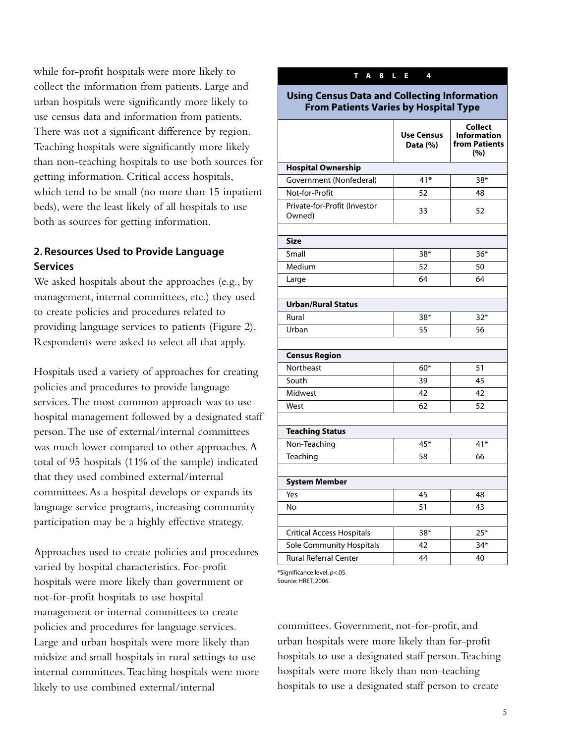while for-profit hospitals were more likely to collect the information from patients. Large and urban hospitals were significantly more likely to use census data and information from patients. There was not a significant difference by region. Teaching hospitals were significantly more likely than non-teaching hospitals to use both sources for getting information. Critical access hospitals, which tend to be small (no more than 15 inpatient beds), were the least likely of all hospitals to use both as sources for getting information.

# **2. Resources Used to Provide Language Services**

We asked hospitals about the approaches (e.g., by management, internal committees, etc.) they used to create policies and procedures related to providing language services to patients (Figure 2). Respondents were asked to select all that apply.

Hospitals used a variety of approaches for creating policies and procedures to provide language services.The most common approach was to use hospital management followed by a designated staff person.The use of external/internal committees was much lower compared to other approaches.A total of 95 hospitals (11% of the sample) indicated that they used combined external/internal committees.As a hospital develops or expands its language service programs, increasing community participation may be a highly effective strategy.

Approaches used to create policies and procedures varied by hospital characteristics. For-profit hospitals were more likely than government or not-for-profit hospitals to use hospital management or internal committees to create policies and procedures for language services. Large and urban hospitals were more likely than midsize and small hospitals in rural settings to use internal committees.Teaching hospitals were more likely to use combined external/internal

| <b>Using Census Data and Collecting Information</b><br><b>From Patients Varies by Hospital Type</b> |                               |                                                       |  |  |  |  |
|-----------------------------------------------------------------------------------------------------|-------------------------------|-------------------------------------------------------|--|--|--|--|
|                                                                                                     | <b>Use Census</b><br>Data (%) | Collect<br><b>Information</b><br>from Patients<br>(%) |  |  |  |  |
| <b>Hospital Ownership</b>                                                                           |                               |                                                       |  |  |  |  |
| Government (Nonfederal)                                                                             | $41*$                         | $38*$                                                 |  |  |  |  |
| Not-for-Profit                                                                                      | 52                            | 48                                                    |  |  |  |  |
| Private-for-Profit (Investor<br>Owned)                                                              | 33                            | 52                                                    |  |  |  |  |
| <b>Size</b>                                                                                         |                               |                                                       |  |  |  |  |
| Small                                                                                               | $38*$                         | $36*$                                                 |  |  |  |  |
| Medium                                                                                              | 52                            | 50                                                    |  |  |  |  |
| Large                                                                                               | 64                            | 64                                                    |  |  |  |  |
|                                                                                                     |                               |                                                       |  |  |  |  |
| <b>Urban/Rural Status</b>                                                                           |                               |                                                       |  |  |  |  |
| Rural                                                                                               | $38*$                         | $32*$                                                 |  |  |  |  |
| Urban                                                                                               | 55                            | 56                                                    |  |  |  |  |
|                                                                                                     |                               |                                                       |  |  |  |  |
| <b>Census Region</b>                                                                                |                               |                                                       |  |  |  |  |
| Northeast                                                                                           | $60*$                         | 51                                                    |  |  |  |  |
| South                                                                                               | 39                            | 45                                                    |  |  |  |  |
| Midwest                                                                                             | 42                            | 42                                                    |  |  |  |  |
| West                                                                                                | 62                            | 52                                                    |  |  |  |  |
|                                                                                                     |                               |                                                       |  |  |  |  |
| <b>Teaching Status</b>                                                                              |                               |                                                       |  |  |  |  |
| Non-Teaching                                                                                        | $45*$                         | $41*$                                                 |  |  |  |  |
| Teaching                                                                                            | 58                            | 66                                                    |  |  |  |  |
|                                                                                                     |                               |                                                       |  |  |  |  |
| <b>System Member</b>                                                                                |                               |                                                       |  |  |  |  |
| Yes                                                                                                 | 45                            | 48                                                    |  |  |  |  |
| No                                                                                                  | 51                            | 43                                                    |  |  |  |  |
|                                                                                                     |                               |                                                       |  |  |  |  |
| <b>Critical Access Hospitals</b>                                                                    | $38*$                         | $25*$                                                 |  |  |  |  |
| Sole Community Hospitals                                                                            | 42                            | $34*$                                                 |  |  |  |  |
| <b>Rural Referral Center</b>                                                                        | 44                            | 40                                                    |  |  |  |  |

**TABLE 4**

\*Significance level, *p*<.05. Source: HRET, 2006.

committees. Government, not-for-profit, and urban hospitals were more likely than for-profit hospitals to use a designated staff person.Teaching hospitals were more likely than non-teaching hospitals to use a designated staff person to create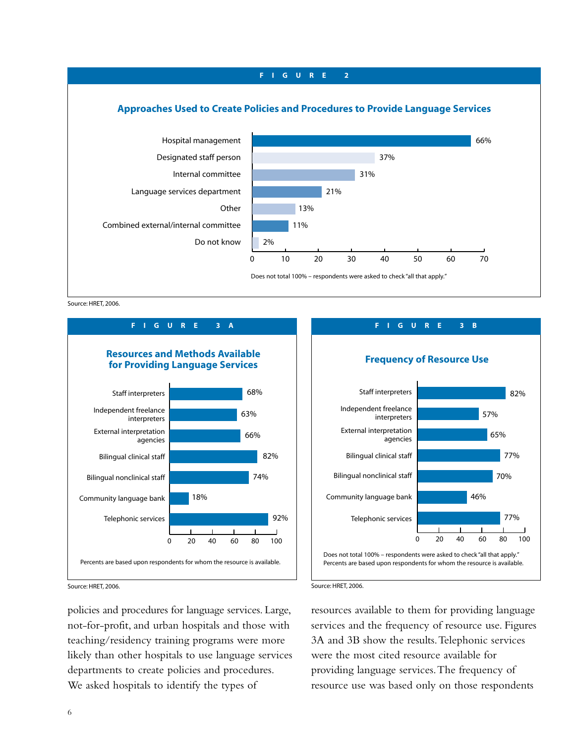

Source: HRET, 2006.



**FIGURE 3B**



Source: HRET, 2006.

policies and procedures for language services. Large, not-for-profit, and urban hospitals and those with teaching/residency training programs were more likely than other hospitals to use language services departments to create policies and procedures. We asked hospitals to identify the types of

#### Source: HRET, 2006.

resources available to them for providing language services and the frequency of resource use. Figures 3A and 3B show the results.Telephonic services were the most cited resource available for providing language services.The frequency of resource use was based only on those respondents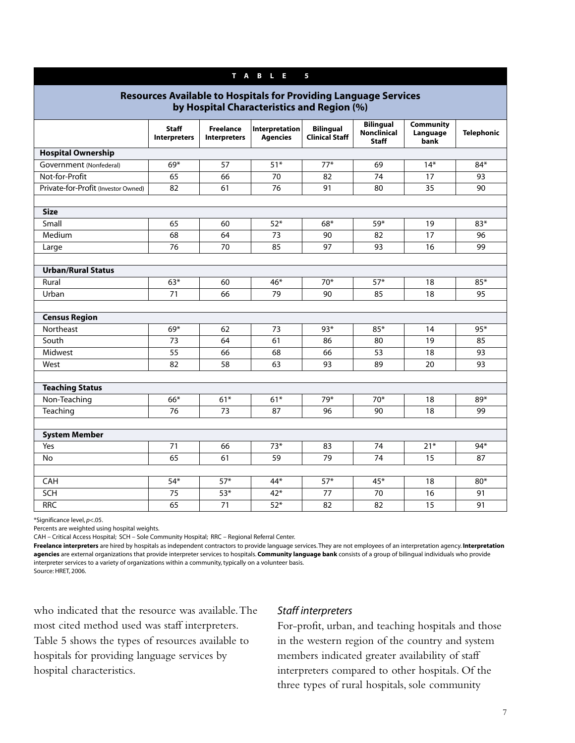| T A B L E<br>$\overline{\mathbf{5}}$                                                                                  |                                     |                                         |                                   |                                           |                                                        |                               |                   |  |  |
|-----------------------------------------------------------------------------------------------------------------------|-------------------------------------|-----------------------------------------|-----------------------------------|-------------------------------------------|--------------------------------------------------------|-------------------------------|-------------------|--|--|
| <b>Resources Available to Hospitals for Providing Language Services</b><br>by Hospital Characteristics and Region (%) |                                     |                                         |                                   |                                           |                                                        |                               |                   |  |  |
|                                                                                                                       | <b>Staff</b><br><b>Interpreters</b> | <b>Freelance</b><br><b>Interpreters</b> | Interpretation<br><b>Agencies</b> | <b>Bilingual</b><br><b>Clinical Staff</b> | <b>Bilingual</b><br><b>Nonclinical</b><br><b>Staff</b> | Community<br>Language<br>bank | <b>Telephonic</b> |  |  |
| <b>Hospital Ownership</b>                                                                                             |                                     |                                         |                                   |                                           |                                                        |                               |                   |  |  |
| Government (Nonfederal)                                                                                               | 69*                                 | 57                                      | $\overline{51*}$                  | $77*$                                     | 69                                                     | $14*$                         | 84*               |  |  |
| Not-for-Profit                                                                                                        | 65                                  | 66                                      | 70                                | 82                                        | 74                                                     | 17                            | 93                |  |  |
| Private-for-Profit (Investor Owned)                                                                                   | 82                                  | 61                                      | 76                                | 91                                        | 80                                                     | 35                            | 90                |  |  |
|                                                                                                                       |                                     |                                         |                                   |                                           |                                                        |                               |                   |  |  |
| <b>Size</b>                                                                                                           |                                     |                                         |                                   |                                           |                                                        |                               |                   |  |  |
| Small                                                                                                                 | 65                                  | 60                                      | $52*$                             | $68*$                                     | 59*                                                    | 19                            | $83*$             |  |  |
| Medium                                                                                                                | 68                                  | 64                                      | 73                                | 90                                        | 82                                                     | 17                            | 96                |  |  |
| Large                                                                                                                 | 76                                  | 70                                      | 85                                | 97                                        | 93                                                     | 16                            | 99                |  |  |
|                                                                                                                       |                                     |                                         |                                   |                                           |                                                        |                               |                   |  |  |
| <b>Urban/Rural Status</b>                                                                                             |                                     |                                         |                                   |                                           |                                                        |                               |                   |  |  |
| Rural                                                                                                                 | $63*$                               | 60                                      | 46*                               | $70*$                                     | $57*$                                                  | 18                            | $85*$             |  |  |
| Urban                                                                                                                 | 71                                  | 66                                      | 79                                | 90                                        | 85                                                     | 18                            | 95                |  |  |
|                                                                                                                       |                                     |                                         |                                   |                                           |                                                        |                               |                   |  |  |
| <b>Census Region</b>                                                                                                  |                                     |                                         |                                   |                                           |                                                        |                               |                   |  |  |
| Northeast                                                                                                             | $69*$                               | 62                                      | 73                                | $93*$                                     | $85*$                                                  | 14                            | $95*$             |  |  |
| South                                                                                                                 | 73                                  | 64                                      | 61                                | 86                                        | 80                                                     | 19                            | 85                |  |  |
| Midwest                                                                                                               | 55                                  | 66                                      | 68                                | 66                                        | 53                                                     | 18                            | 93                |  |  |
| West                                                                                                                  | 82                                  | 58                                      | 63                                | 93                                        | 89                                                     | 20                            | 93                |  |  |
|                                                                                                                       |                                     |                                         |                                   |                                           |                                                        |                               |                   |  |  |
| <b>Teaching Status</b>                                                                                                |                                     |                                         |                                   |                                           |                                                        |                               |                   |  |  |
| Non-Teaching                                                                                                          | $66*$                               | $61*$                                   | $61*$                             | 79*                                       | $70*$                                                  | 18                            | 89*               |  |  |
| Teaching                                                                                                              | 76                                  | 73                                      | 87                                | 96                                        | 90                                                     | 18                            | 99                |  |  |
|                                                                                                                       |                                     |                                         |                                   |                                           |                                                        |                               |                   |  |  |
| <b>System Member</b>                                                                                                  |                                     |                                         |                                   |                                           |                                                        |                               |                   |  |  |
| Yes                                                                                                                   | 71                                  | 66                                      | $73*$                             | 83                                        | 74                                                     | $21*$                         | 94*               |  |  |
| No                                                                                                                    | 65                                  | 61                                      | 59                                | 79                                        | 74                                                     | 15                            | 87                |  |  |
|                                                                                                                       |                                     |                                         |                                   |                                           |                                                        |                               |                   |  |  |
| CAH                                                                                                                   | $54*$                               | $57*$                                   | 44*                               | $57*$                                     | 45*                                                    | 18                            | $80*$             |  |  |
| SCH                                                                                                                   | 75                                  | $53*$                                   | 42*                               | 77                                        | 70                                                     | 16                            | 91                |  |  |
| <b>RRC</b>                                                                                                            | 65                                  | 71                                      | $52*$                             | 82                                        | 82                                                     | $\overline{15}$               | 91                |  |  |

\*Significance level, *p*<.05.

Percents are weighted using hospital weights.

CAH – Critical Access Hospital; SCH – Sole Community Hospital; RRC – Regional Referral Center.

**Freelance interpreters** are hired by hospitals as independent contractors to provide language services. They are not employees of an interpretation agency. **Interpretation agencies** are external organizations that provide interpreter services to hospitals. **Community language bank** consists of a group of bilingual individuals who provide interpreter services to a variety of organizations within a community, typically on a volunteer basis. Source: HRET, 2006.

who indicated that the resource was available.The most cited method used was staff interpreters. Table 5 shows the types of resources available to hospitals for providing language services by hospital characteristics.

#### *Staff interpreters*

For-profit, urban, and teaching hospitals and those in the western region of the country and system members indicated greater availability of staff interpreters compared to other hospitals. Of the three types of rural hospitals, sole community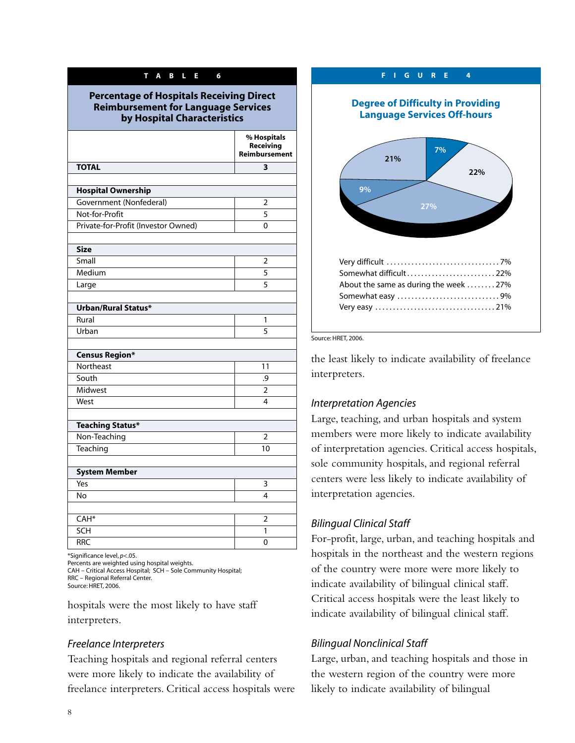#### **TABLE 6**

#### **Percentage of Hospitals Receiving Direct Reimbursement for Language Services by Hospital Characteristics**

|                                     | % Hospitals<br>Receiving<br><b>Reimbursement</b> |
|-------------------------------------|--------------------------------------------------|
| <b>TOTAL</b>                        | 3                                                |
|                                     |                                                  |
| <b>Hospital Ownership</b>           |                                                  |
| Government (Nonfederal)             | 2                                                |
| Not-for-Profit                      | 5                                                |
| Private-for-Profit (Investor Owned) | 0                                                |
|                                     |                                                  |
| <b>Size</b>                         |                                                  |
| Small                               | $\overline{2}$                                   |
| Medium                              | 5                                                |
| Large                               | 5                                                |
|                                     |                                                  |
| Urban/Rural Status*                 |                                                  |
| Rural                               | 1                                                |
| Urban                               | 5                                                |
|                                     |                                                  |
| <b>Census Region*</b>               |                                                  |
| Northeast                           | 11                                               |
| South                               | .9                                               |
| Midwest                             | $\overline{2}$                                   |
| West                                | 4                                                |
|                                     |                                                  |
| <b>Teaching Status*</b>             |                                                  |
| Non-Teaching                        | 2                                                |
| Teaching                            | 10                                               |
|                                     |                                                  |
| <b>System Member</b>                |                                                  |
| Yes                                 | 3                                                |
| <b>No</b>                           | 4                                                |
|                                     |                                                  |
| $CAH*$                              | $\overline{2}$                                   |
| SCH                                 | 1                                                |
| <b>RRC</b>                          | 0                                                |

\*Significance level, *p*<.05.

Percents are weighted using hospital weights. CAH – Critical Access Hospital; SCH – Sole Community Hospital; RRC – Regional Referral Center.

Source: HRET, 2006.

hospitals were the most likely to have staff interpreters.

### *Freelance Interpreters*

Teaching hospitals and regional referral centers were more likely to indicate the availability of freelance interpreters. Critical access hospitals were

# **FIGURE 4 Degree of Difficulty in Providing Language Services Off-hours** Very difficult . . . . . . . . . . . . . . . . . . . . . . . . . . . . . . . . 7% Somewhat difficult . . . . . . . . . . . . . . . . . . . . . . . . . 22% About the same as during the week . . . . . . . . 27% Somewhat easy . . . . . . . . . . . . . . . . . . . . . . . . . . . . . 9% Very easy . . . . . . . . . . . . . . . . . . . . . . . . . . . . . . . . . . 21% **27% 22% 9% 21% 7%**

Source: HRET, 2006.

the least likely to indicate availability of freelance interpreters.

### *Interpretation Agencies*

Large, teaching, and urban hospitals and system members were more likely to indicate availability of interpretation agencies. Critical access hospitals, sole community hospitals, and regional referral centers were less likely to indicate availability of interpretation agencies.

# *Bilingual Clinical Staff*

For-profit, large, urban, and teaching hospitals and hospitals in the northeast and the western regions of the country were more were more likely to indicate availability of bilingual clinical staff. Critical access hospitals were the least likely to indicate availability of bilingual clinical staff.

# *Bilingual Nonclinical Staff*

Large, urban, and teaching hospitals and those in the western region of the country were more likely to indicate availability of bilingual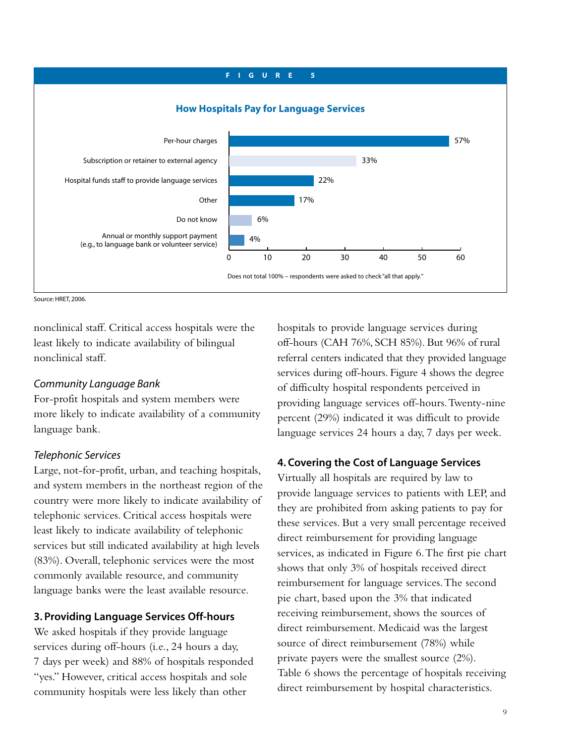

Source: HRET, 2006

nonclinical staff. Critical access hospitals were the least likely to indicate availability of bilingual nonclinical staff.

#### *Community Language Bank*

For-profit hospitals and system members were more likely to indicate availability of a community language bank.

### *Telephonic Services*

Large, not-for-profit, urban, and teaching hospitals, and system members in the northeast region of the country were more likely to indicate availability of telephonic services. Critical access hospitals were least likely to indicate availability of telephonic services but still indicated availability at high levels (83%). Overall, telephonic services were the most commonly available resource, and community language banks were the least available resource.

### **3. Providing Language Services Off-hours**

We asked hospitals if they provide language services during off-hours (i.e., 24 hours a day, 7 days per week) and 88% of hospitals responded "yes." However, critical access hospitals and sole community hospitals were less likely than other

hospitals to provide language services during off-hours (CAH 76%, SCH 85%). But 96% of rural referral centers indicated that they provided language services during off-hours. Figure 4 shows the degree of difficulty hospital respondents perceived in providing language services off-hours.Twenty-nine percent (29%) indicated it was difficult to provide language services 24 hours a day, 7 days per week.

# **4. Covering the Cost of Language Services**

Virtually all hospitals are required by law to provide language services to patients with LEP, and they are prohibited from asking patients to pay for these services. But a very small percentage received direct reimbursement for providing language services, as indicated in Figure 6.The first pie chart shows that only 3% of hospitals received direct reimbursement for language services.The second pie chart, based upon the 3% that indicated receiving reimbursement, shows the sources of direct reimbursement. Medicaid was the largest source of direct reimbursement (78%) while private payers were the smallest source (2%). Table 6 shows the percentage of hospitals receiving direct reimbursement by hospital characteristics.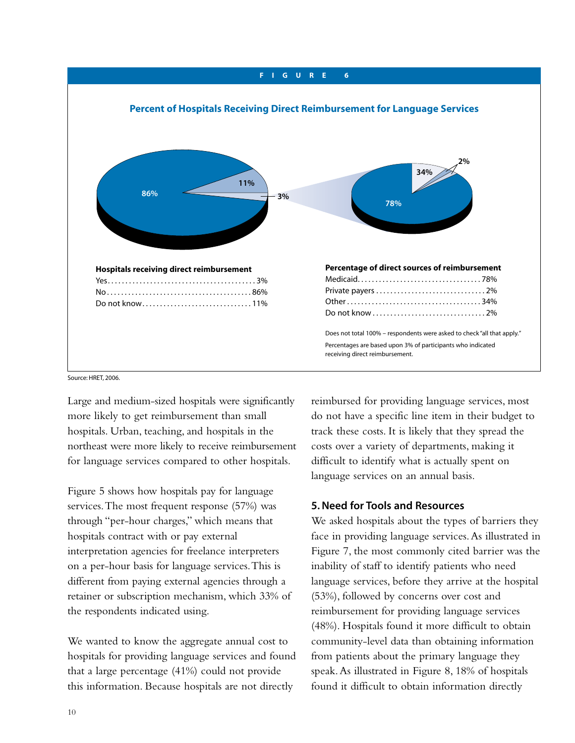

Source: HRET, 2006.

Large and medium-sized hospitals were significantly more likely to get reimbursement than small hospitals. Urban, teaching, and hospitals in the northeast were more likely to receive reimbursement for language services compared to other hospitals.

Figure 5 shows how hospitals pay for language services.The most frequent response (57%) was through "per-hour charges," which means that hospitals contract with or pay external interpretation agencies for freelance interpreters on a per-hour basis for language services.This is different from paying external agencies through a retainer or subscription mechanism, which 33% of the respondents indicated using.

We wanted to know the aggregate annual cost to hospitals for providing language services and found that a large percentage (41%) could not provide this information. Because hospitals are not directly

reimbursed for providing language services, most do not have a specific line item in their budget to track these costs. It is likely that they spread the costs over a variety of departments, making it difficult to identify what is actually spent on language services on an annual basis.

### **5. Need for Tools and Resources**

We asked hospitals about the types of barriers they face in providing language services.As illustrated in Figure 7, the most commonly cited barrier was the inability of staff to identify patients who need language services, before they arrive at the hospital (53%), followed by concerns over cost and reimbursement for providing language services (48%). Hospitals found it more difficult to obtain community-level data than obtaining information from patients about the primary language they speak.As illustrated in Figure 8, 18% of hospitals found it difficult to obtain information directly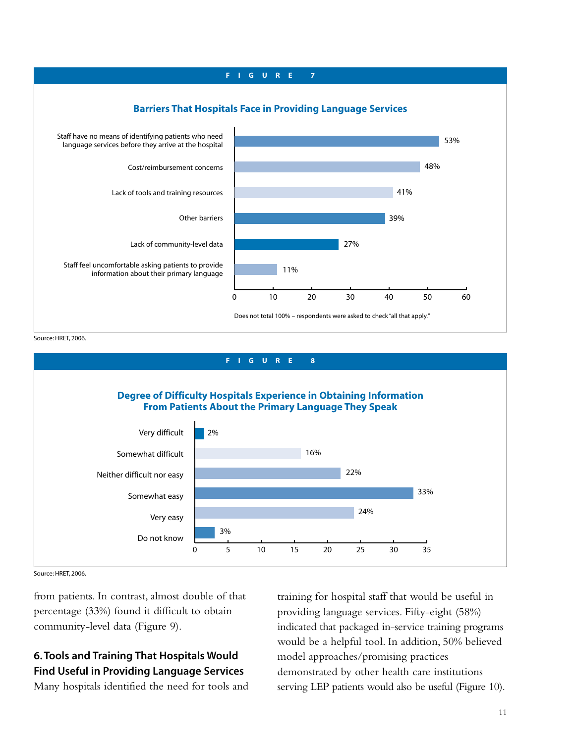

Source: HRET, 2006.



Source: HRET, 2006.

from patients. In contrast, almost double of that percentage (33%) found it difficult to obtain community-level data (Figure 9).

# **6. Tools and Training That Hospitals Would Find Useful in Providing Language Services**

Many hospitals identified the need for tools and

training for hospital staff that would be useful in providing language services. Fifty-eight (58%) indicated that packaged in-service training programs would be a helpful tool. In addition, 50% believed model approaches/promising practices demonstrated by other health care institutions serving LEP patients would also be useful (Figure 10).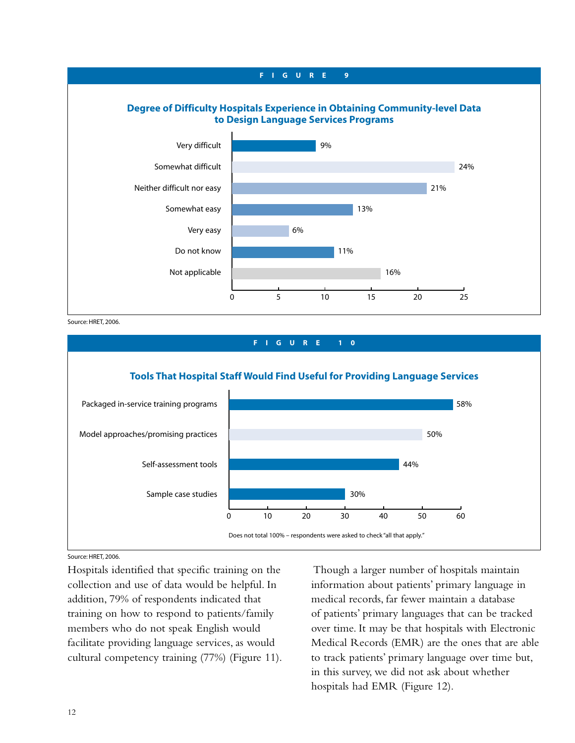# 0 5 10 15 20 25 **Degree of Difficulty Hospitals Experience in Obtaining Community-level Data to Design Language Services Programs** Very difficult Somewhat difficult Neither difficult nor easy Somewhat easy Very easy Do not know Not applicable 9% 24% 21% 13% 6% 11% 16% **FIGURE 9**

Source: HRET, 2006.



Source: HRET, 2006.

Hospitals identified that specific training on the collection and use of data would be helpful. In addition, 79% of respondents indicated that training on how to respond to patients/family members who do not speak English would facilitate providing language services, as would cultural competency training (77%) (Figure 11).

Though a larger number of hospitals maintain information about patients' primary language in medical records, far fewer maintain a database of patients' primary languages that can be tracked over time. It may be that hospitals with Electronic Medical Records (EMR) are the ones that are able to track patients' primary language over time but, in this survey, we did not ask about whether hospitals had EMR (Figure 12).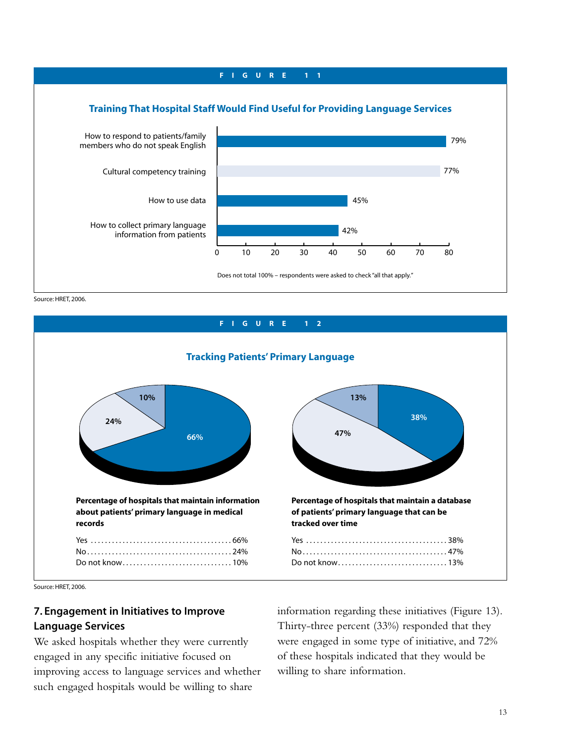

Source: HRET, 2006.



Source: HRET, 2006.

# **7. Engagement in Initiatives to Improve Language Services**

We asked hospitals whether they were currently engaged in any specific initiative focused on improving access to language services and whether such engaged hospitals would be willing to share

information regarding these initiatives (Figure 13). Thirty-three percent (33%) responded that they were engaged in some type of initiative, and 72% of these hospitals indicated that they would be willing to share information.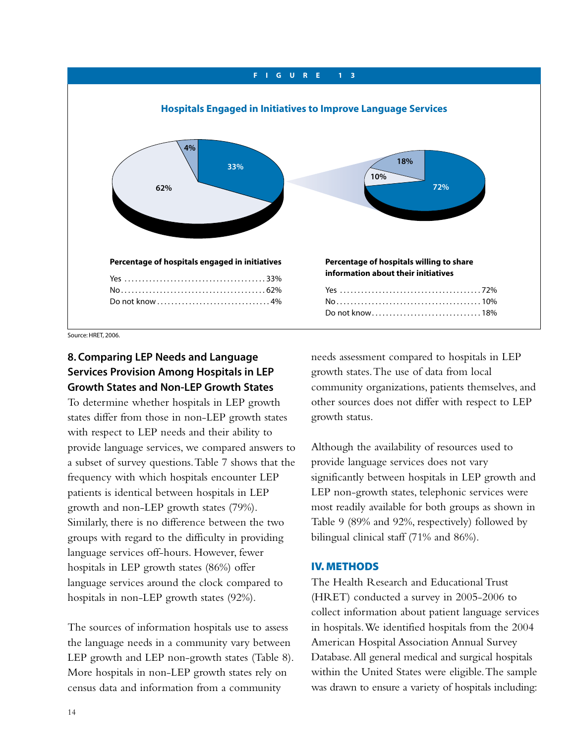

Source: HRET, 2006.

# **8. Comparing LEP Needs and Language Services Provision Among Hospitals in LEP Growth States and Non-LEP Growth States**

To determine whether hospitals in LEP growth states differ from those in non-LEP growth states with respect to LEP needs and their ability to provide language services, we compared answers to a subset of survey questions.Table 7 shows that the frequency with which hospitals encounter LEP patients is identical between hospitals in LEP growth and non-LEP growth states (79%). Similarly, there is no difference between the two groups with regard to the difficulty in providing language services off-hours. However, fewer hospitals in LEP growth states (86%) offer language services around the clock compared to hospitals in non-LEP growth states (92%).

The sources of information hospitals use to assess the language needs in a community vary between LEP growth and LEP non-growth states (Table 8). More hospitals in non-LEP growth states rely on census data and information from a community

needs assessment compared to hospitals in LEP growth states.The use of data from local community organizations, patients themselves, and other sources does not differ with respect to LEP growth status.

Although the availability of resources used to provide language services does not vary significantly between hospitals in LEP growth and LEP non-growth states, telephonic services were most readily available for both groups as shown in Table 9 (89% and 92%, respectively) followed by bilingual clinical staff (71% and 86%).

#### **IV. METHODS**

The Health Research and Educational Trust (HRET) conducted a survey in 2005-2006 to collect information about patient language services in hospitals.We identified hospitals from the 2004 American Hospital Association Annual Survey Database.All general medical and surgical hospitals within the United States were eligible.The sample was drawn to ensure a variety of hospitals including: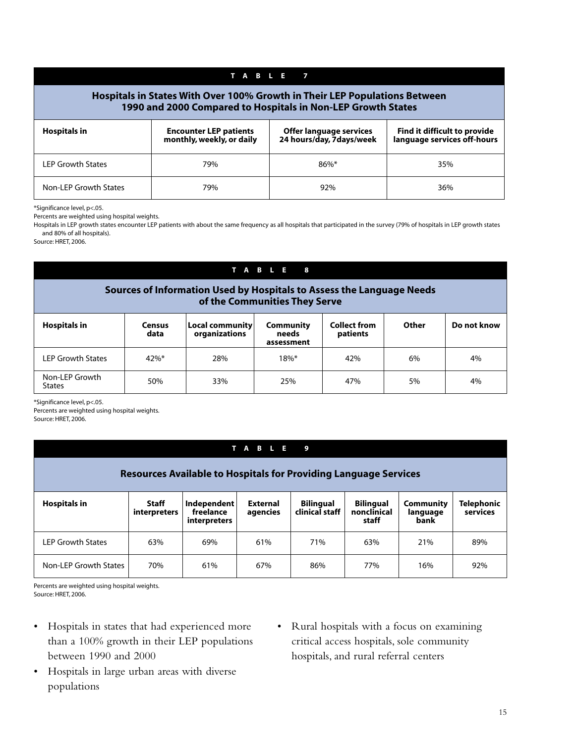| <b>TABLE</b>                                                                                                                               |                                                            |                                                      |                                                             |  |  |  |  |  |  |
|--------------------------------------------------------------------------------------------------------------------------------------------|------------------------------------------------------------|------------------------------------------------------|-------------------------------------------------------------|--|--|--|--|--|--|
| Hospitals in States With Over 100% Growth in Their LEP Populations Between<br>1990 and 2000 Compared to Hospitals in Non-LEP Growth States |                                                            |                                                      |                                                             |  |  |  |  |  |  |
| <b>Hospitals in</b>                                                                                                                        | <b>Encounter LEP patients</b><br>monthly, weekly, or daily | Offer language services<br>24 hours/day, 7 days/week | Find it difficult to provide<br>language services off-hours |  |  |  |  |  |  |
| <b>LEP Growth States</b>                                                                                                                   | 79%                                                        | $86\%$ *                                             | 35%                                                         |  |  |  |  |  |  |
| Non-LEP Growth States                                                                                                                      | 79%                                                        | 92%                                                  | 36%                                                         |  |  |  |  |  |  |

\*Significance level, p<.05.

Percents are weighted using hospital weights.

Hospitals in LEP growth states encounter LEP patients with about the same frequency as all hospitals that participated in the survey (79% of hospitals in LEP growth states and 80% of all hospitals).

Source: HRET, 2006.

### **TABLE 8**

#### **Sources of Information Used by Hospitals to Assess the Language Needs of the Communities They Serve**

| <b>Hospitals in</b>             | <b>Census</b><br>data | $ $ Local community $ $<br>organizations | <b>Community</b><br>needs<br>assessment | <b>Collect from</b><br>patients | Other | Do not know |
|---------------------------------|-----------------------|------------------------------------------|-----------------------------------------|---------------------------------|-------|-------------|
| LEP Growth States               | $42\%$ *              | 28%                                      | $18\%$ *                                | 42%                             | 6%    | 4%          |
| Non-LEP Growth<br><b>States</b> | 50%                   | 33%                                      | 25%                                     | 47%                             | 5%    | 4%          |

\*Significance level, p<.05.

Percents are weighted using hospital weights. Source: HRET, 2006.

# **TABLE 9**

| <b>Resources Available to Hospitals for Providing Language Services</b> |                              |                                                 |                      |                                    |                                          |                               |                        |  |
|-------------------------------------------------------------------------|------------------------------|-------------------------------------------------|----------------------|------------------------------------|------------------------------------------|-------------------------------|------------------------|--|
| <b>Hospitals in</b>                                                     | <b>Staff</b><br>interpreters | Independent<br>freelance<br><i>interpreters</i> | External<br>agencies | <b>Bilingual</b><br>clinical staff | <b>Bilingual</b><br>nonclinical<br>staff | Community<br>language<br>bank | Telephonic<br>services |  |
| LEP Growth States                                                       | 63%                          | 69%                                             | 61%                  | 71%                                | 63%                                      | 21%                           | 89%                    |  |
| Non-LEP Growth States                                                   | 70%                          | 61%                                             | 67%                  | 86%                                | 77%                                      | 16%                           | 92%                    |  |

Percents are weighted using hospital weights. Source: HRET, 2006.

- Hospitals in states that had experienced more than a 100% growth in their LEP populations between 1990 and 2000
- Hospitals in large urban areas with diverse populations
- Rural hospitals with a focus on examining critical access hospitals, sole community hospitals, and rural referral centers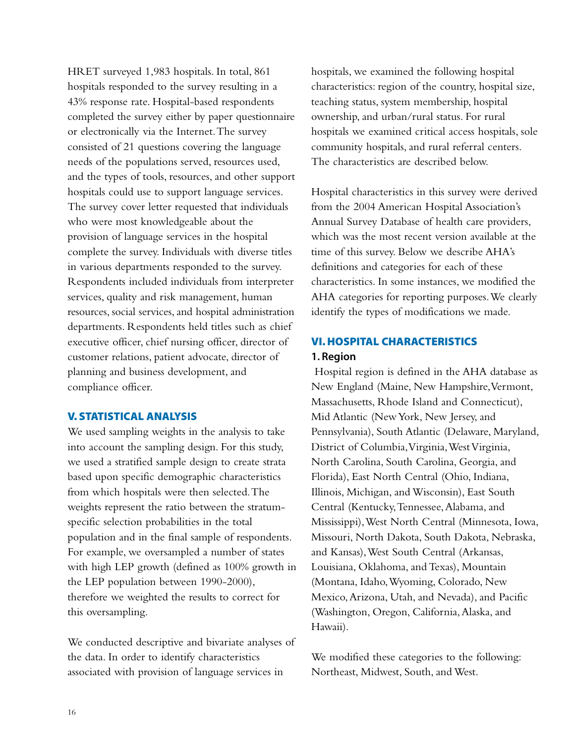HRET surveyed 1,983 hospitals. In total, 861 hospitals responded to the survey resulting in a 43% response rate. Hospital-based respondents completed the survey either by paper questionnaire or electronically via the Internet.The survey consisted of 21 questions covering the language needs of the populations served, resources used, and the types of tools, resources, and other support hospitals could use to support language services. The survey cover letter requested that individuals who were most knowledgeable about the provision of language services in the hospital complete the survey. Individuals with diverse titles in various departments responded to the survey. Respondents included individuals from interpreter services, quality and risk management, human resources, social services, and hospital administration departments. Respondents held titles such as chief executive officer, chief nursing officer, director of customer relations, patient advocate, director of planning and business development, and compliance officer.

### **V. STATISTICAL ANALYSIS**

We used sampling weights in the analysis to take into account the sampling design. For this study, we used a stratified sample design to create strata based upon specific demographic characteristics from which hospitals were then selected.The weights represent the ratio between the stratumspecific selection probabilities in the total population and in the final sample of respondents. For example, we oversampled a number of states with high LEP growth (defined as 100% growth in the LEP population between 1990-2000), therefore we weighted the results to correct for this oversampling.

We conducted descriptive and bivariate analyses of the data. In order to identify characteristics associated with provision of language services in

hospitals, we examined the following hospital characteristics: region of the country, hospital size, teaching status, system membership, hospital ownership, and urban/rural status. For rural hospitals we examined critical access hospitals, sole community hospitals, and rural referral centers. The characteristics are described below.

Hospital characteristics in this survey were derived from the 2004 American Hospital Association's Annual Survey Database of health care providers, which was the most recent version available at the time of this survey. Below we describe AHA's definitions and categories for each of these characteristics. In some instances, we modified the AHA categories for reporting purposes.We clearly identify the types of modifications we made.

# **VI. HOSPITAL CHARACTERISTICS 1. Region**

Hospital region is defined in the AHA database as New England (Maine, New Hampshire,Vermont, Massachusetts, Rhode Island and Connecticut), Mid Atlantic (New York, New Jersey, and Pennsylvania), South Atlantic (Delaware, Maryland, District of Columbia, Virginia, West Virginia, North Carolina, South Carolina, Georgia, and Florida), East North Central (Ohio, Indiana, Illinois, Michigan, and Wisconsin), East South Central (Kentucky,Tennessee,Alabama, and Mississippi),West North Central (Minnesota, Iowa, Missouri, North Dakota, South Dakota, Nebraska, and Kansas),West South Central (Arkansas, Louisiana, Oklahoma, and Texas), Mountain (Montana, Idaho,Wyoming, Colorado, New Mexico,Arizona, Utah, and Nevada), and Pacific (Washington, Oregon, California,Alaska, and Hawaii).

We modified these categories to the following: Northeast, Midwest, South, and West.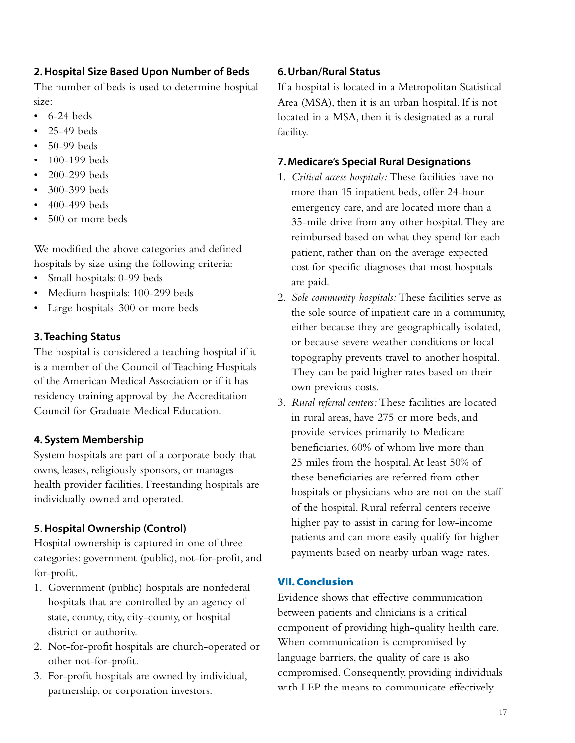# **2. Hospital Size Based Upon Number of Beds**

The number of beds is used to determine hospital size:

- $\cdot$  6-24 beds
- 25-49 beds
- 50-99 beds
- 100-199 beds
- 200-299 beds
- 300-399 beds
- 400-499 beds
- 500 or more beds

We modified the above categories and defined hospitals by size using the following criteria:

- Small hospitals: 0-99 beds
- Medium hospitals: 100-299 beds
- Large hospitals: 300 or more beds

# **3. Teaching Status**

The hospital is considered a teaching hospital if it is a member of the Council of Teaching Hospitals of the American Medical Association or if it has residency training approval by the Accreditation Council for Graduate Medical Education.

# **4. System Membership**

System hospitals are part of a corporate body that owns, leases, religiously sponsors, or manages health provider facilities. Freestanding hospitals are individually owned and operated.

# **5. Hospital Ownership (Control)**

Hospital ownership is captured in one of three categories: government (public), not-for-profit, and for-profit.

- 1. Government (public) hospitals are nonfederal hospitals that are controlled by an agency of state, county, city, city-county, or hospital district or authority.
- 2. Not-for-profit hospitals are church-operated or other not-for-profit.
- 3. For-profit hospitals are owned by individual, partnership, or corporation investors.

# **6. Urban/Rural Status**

If a hospital is located in a Metropolitan Statistical Area (MSA), then it is an urban hospital. If is not located in a MSA, then it is designated as a rural facility.

# **7. Medicare's Special Rural Designations**

- 1. *Critical access hospitals:* These facilities have no more than 15 inpatient beds, offer 24-hour emergency care, and are located more than a 35-mile drive from any other hospital.They are reimbursed based on what they spend for each patient, rather than on the average expected cost for specific diagnoses that most hospitals are paid.
- 2. *Sole community hospitals:* These facilities serve as the sole source of inpatient care in a community, either because they are geographically isolated, or because severe weather conditions or local topography prevents travel to another hospital. They can be paid higher rates based on their own previous costs.
- 3. *Rural referral centers:* These facilities are located in rural areas, have 275 or more beds, and provide services primarily to Medicare beneficiaries, 60% of whom live more than 25 miles from the hospital.At least 50% of these beneficiaries are referred from other hospitals or physicians who are not on the staff of the hospital. Rural referral centers receive higher pay to assist in caring for low-income patients and can more easily qualify for higher payments based on nearby urban wage rates.

# **VII. Conclusion**

Evidence shows that effective communication between patients and clinicians is a critical component of providing high-quality health care. When communication is compromised by language barriers, the quality of care is also compromised. Consequently, providing individuals with LEP the means to communicate effectively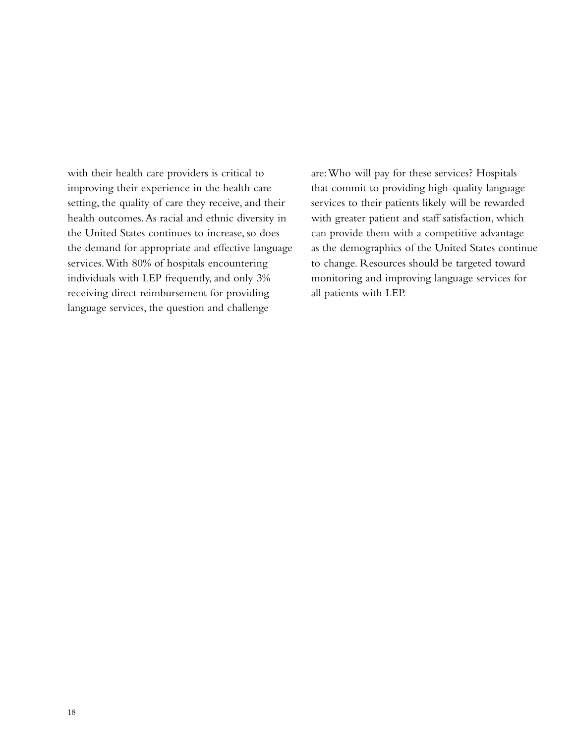with their health care providers is critical to improving their experience in the health care setting, the quality of care they receive, and their health outcomes.As racial and ethnic diversity in the United States continues to increase, so does the demand for appropriate and effective language services.With 80% of hospitals encountering individuals with LEP frequently, and only 3% receiving direct reimbursement for providing language services, the question and challenge

are:Who will pay for these services? Hospitals that commit to providing high-quality language services to their patients likely will be rewarded with greater patient and staff satisfaction, which can provide them with a competitive advantage as the demographics of the United States continue to change. Resources should be targeted toward monitoring and improving language services for all patients with LEP.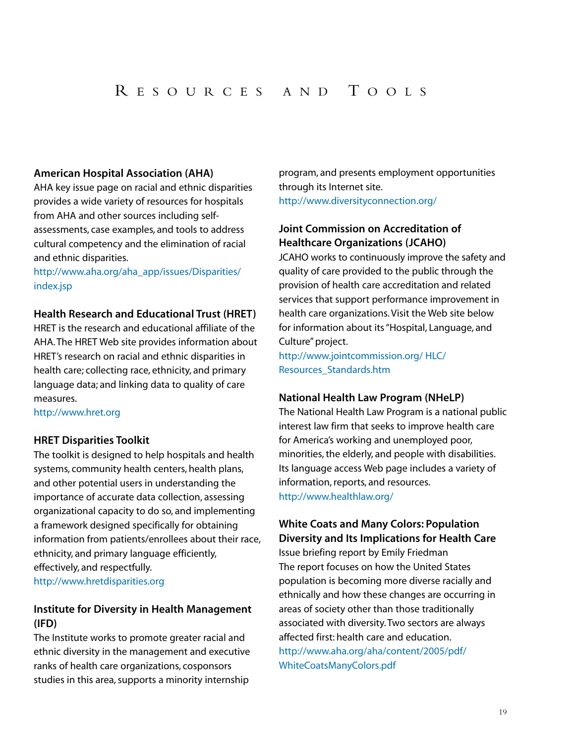### **American Hospital Association (AHA)**

AHA key issue page on racial and ethnic disparities provides a wide variety of resources for hospitals from AHA and other sources including selfassessments, case examples, and tools to address cultural competency and the elimination of racial and ethnic disparities.

http://www.aha.org/aha\_app/issues/Disparities/ index.jsp

### **Health Research and Educational Trust (HRET)**

HRET is the research and educational affiliate of the AHA. The HRET Web site provides information about HRET's research on racial and ethnic disparities in health care; collecting race, ethnicity, and primary language data; and linking data to quality of care measures.

#### http://www.hret.org

### **HRET Disparities Toolkit**

The toolkit is designed to help hospitals and health systems, community health centers, health plans, and other potential users in understanding the importance of accurate data collection, assessing organizational capacity to do so, and implementing a framework designed specifically for obtaining information from patients/enrollees about their race, ethnicity, and primary language efficiently, effectively, and respectfully. http://www.hretdisparities.org

# **Institute for Diversity in Health Management (IFD)**

The Institute works to promote greater racial and ethnic diversity in the management and executive ranks of health care organizations, cosponsors studies in this area, supports a minority internship

program, and presents employment opportunities through its Internet site. http://www.diversityconnection.org/

# **Joint Commission on Accreditation of Healthcare Organizations (JCAHO)**

JCAHO works to continuously improve the safety and quality of care provided to the public through the provision of health care accreditation and related services that support performance improvement in health care organizations. Visit the Web site below for information about its "Hospital, Language, and Culture" project.

http://www.jointcommission.org/ HLC/ Resources\_Standards.htm

### **National Health Law Program (NHeLP)**

The National Health Law Program is a national public interest law firm that seeks to improve health care for America's working and unemployed poor, minorities, the elderly, and people with disabilities. Its language access Web page includes a variety of information, reports, and resources. http://www.healthlaw.org/

# **White Coats and Many Colors: Population Diversity and Its Implications for Health Care**

Issue briefing report by Emily Friedman The report focuses on how the United States population is becoming more diverse racially and ethnically and how these changes are occurring in areas of society other than those traditionally associated with diversity. Two sectors are always affected first: health care and education. http://www.aha.org/aha/content/2005/pdf/ WhiteCoatsManyColors.pdf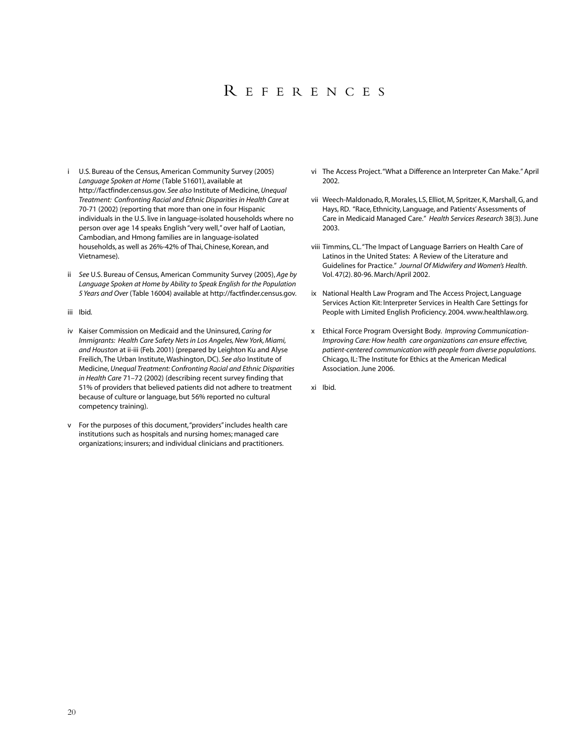# R EFERENCES

- i U.S. Bureau of the Census, American Community Survey (2005) *Language Spoken at Home* (Table S1601), available at http://factfinder.census.gov. *See also* Institute of Medicine, *Unequal Treatment: Confronting Racial and Ethnic Disparities in Health Care* at 70-71 (2002) (reporting that more than one in four Hispanic individuals in the U.S. live in language-isolated households where no person over age 14 speaks English "very well,"over half of Laotian, Cambodian, and Hmong families are in language-isolated households, as well as 26%-42% of Thai, Chinese, Korean, and Vietnamese).
- ii *See* U.S. Bureau of Census, American Community Survey (2005), *Age by Language Spoken at Home by Ability to Speak English for the Population 5 Years and Over* (Table 16004) available at http://factfinder.census.gov.
- iii Ibid*.*
- iv Kaiser Commission on Medicaid and the Uninsured, *Caring for Immigrants: Health Care Safety Nets in Los Angeles, New York, Miami, and Houston* at ii-iii (Feb. 2001) (prepared by Leighton Ku and Alyse Freilich, The Urban Institute, Washington, DC). *See also* Institute of Medicine, *Unequal Treatment: Confronting Racial and Ethnic Disparities in Health Care* 71–72 (2002) (describing recent survey finding that 51% of providers that believed patients did not adhere to treatment because of culture or language, but 56% reported no cultural competency training).
- v For the purposes of this document,"providers"includes health care institutions such as hospitals and nursing homes; managed care organizations; insurers; and individual clinicians and practitioners.
- vi The Access Project."What a Difference an Interpreter Can Make."April 2002.
- vii Weech-Maldonado, R, Morales, LS, Elliot, M, Spritzer, K, Marshall, G, and Hays, RD. "Race, Ethnicity, Language, and Patients' Assessments of Care in Medicaid Managed Care." *Health Services Research* 38(3). June 2003.
- viii Timmins, CL."The Impact of Language Barriers on Health Care of Latinos in the United States: A Review of the Literature and Guidelines for Practice." *Journal Of Midwifery and Women's Health*. Vol. 47(2). 80-96. March/April 2002.
- ix National Health Law Program and The Access Project, Language Services Action Kit: Interpreter Services in Health Care Settings for People with Limited English Proficiency. 2004. www.healthlaw.org.
- x Ethical Force Program Oversight Body. *Improving Communication-Improving Care: How health care organizations can ensure effective, patient-centered communication with people from diverse populations.* Chicago, IL: The Institute for Ethics at the American Medical Association. June 2006.
- xi Ibid.